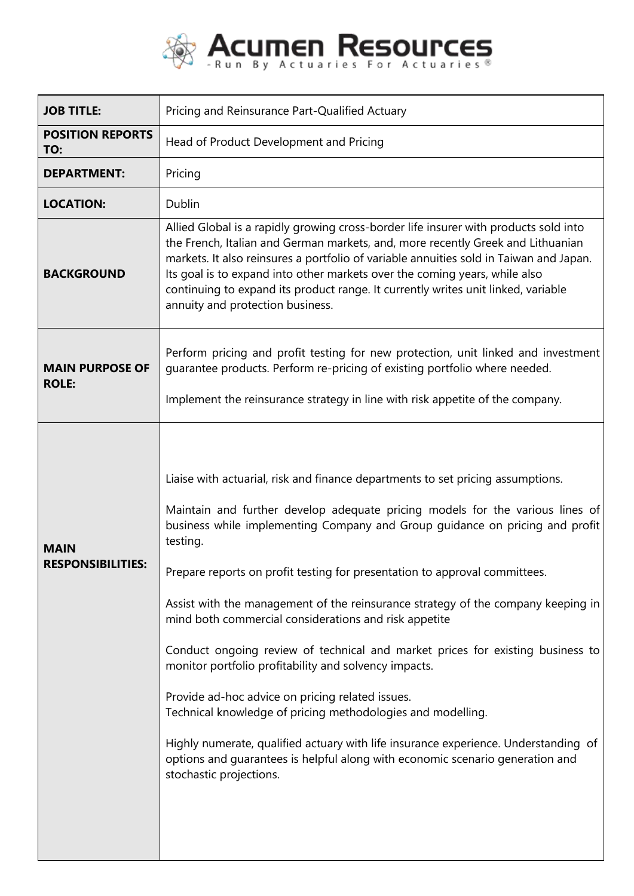